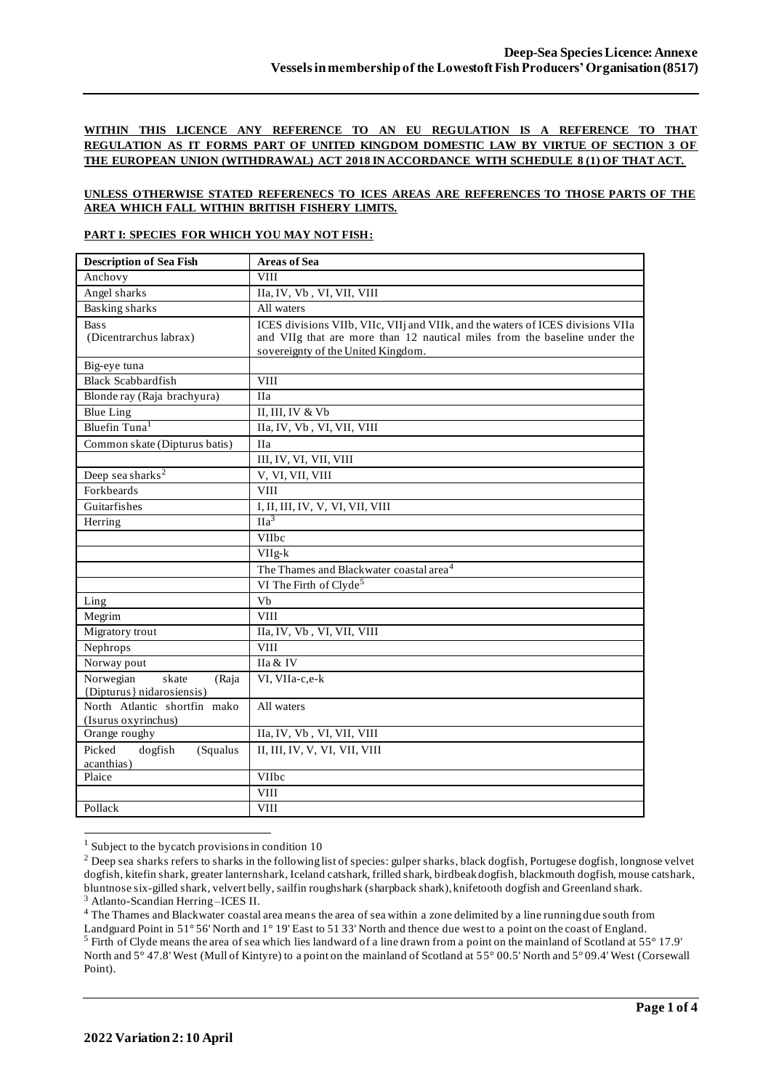## **WITHIN THIS LICENCE ANY REFERENCE TO AN EU REGULATION IS A REFERENCE TO THAT REGULATION AS IT FORMS PART OF UNITED KINGDOM DOMESTIC LAW BY VIRTUE OF SECTION 3 OF THE EUROPEAN UNION (WITHDRAWAL) ACT 2018 IN ACCORDANCE WITH SCHEDULE 8 (1) OF THAT ACT.**

#### **UNLESS OTHERWISE STATED REFERENECS TO ICES AREAS ARE REFERENCES TO THOSE PARTS OF THE AREA WHICH FALL WITHIN BRITISH FISHERY LIMITS.**

#### **PART I: SPECIES FOR WHICH YOU MAY NOT FISH:**

| <b>Description of Sea Fish</b>                           | <b>Areas of Sea</b>                                                                                                                                                                                |
|----------------------------------------------------------|----------------------------------------------------------------------------------------------------------------------------------------------------------------------------------------------------|
| Anchovy                                                  | <b>VIII</b>                                                                                                                                                                                        |
| Angel sharks                                             | IIa, IV, Vb, VI, VII, VIII                                                                                                                                                                         |
| <b>Basking sharks</b>                                    | All waters                                                                                                                                                                                         |
| <b>Bass</b><br>(Dicentrarchus labrax)                    | ICES divisions VIIb, VIIc, VIIj and VIIk, and the waters of ICES divisions VIIa<br>and VIIg that are more than 12 nautical miles from the baseline under the<br>sovereignty of the United Kingdom. |
| Big-eye tuna                                             |                                                                                                                                                                                                    |
| <b>Black Scabbardfish</b>                                | <b>VIII</b>                                                                                                                                                                                        |
| Blonde ray (Raja brachyura)                              | <b>IIa</b>                                                                                                                                                                                         |
| <b>Blue Ling</b>                                         | II, III, IV & Vb                                                                                                                                                                                   |
| Bluefin Tuna <sup>1</sup>                                | IIa, IV, Vb, VI, VII, VIII                                                                                                                                                                         |
| Common skate (Dipturus batis)                            | <b>IIa</b>                                                                                                                                                                                         |
|                                                          | III, IV, VI, VII, VIII                                                                                                                                                                             |
| Deep sea sharks <sup>2</sup>                             | V, VI, VII, VIII                                                                                                                                                                                   |
| Forkbeards                                               | <b>VIII</b>                                                                                                                                                                                        |
| Guitarfishes                                             | I, II, III, IV, V, VI, VII, VIII                                                                                                                                                                   |
| Herring                                                  | $\overline{\text{IIa}^3}$                                                                                                                                                                          |
|                                                          | <b>VIIbc</b>                                                                                                                                                                                       |
|                                                          | $VIIg-k$                                                                                                                                                                                           |
|                                                          | The Thames and Blackwater coastal area <sup>4</sup>                                                                                                                                                |
|                                                          | VI The Firth of Clyde <sup>5</sup>                                                                                                                                                                 |
| Ling                                                     | Vb                                                                                                                                                                                                 |
| Megrim                                                   | <b>VIII</b>                                                                                                                                                                                        |
| Migratory trout                                          | IIa, IV, Vb, VI, VII, VIII                                                                                                                                                                         |
| Nephrops                                                 | <b>VIII</b>                                                                                                                                                                                        |
| Norway pout                                              | IIa & IV                                                                                                                                                                                           |
| Norwegian<br>skate<br>(Raja<br>{Dipturus} nidarosiensis) | VI, VIIa-c,e-k                                                                                                                                                                                     |
| North Atlantic shortfin mako<br>(Isurus oxyrinchus)      | All waters                                                                                                                                                                                         |
| Orange roughy                                            | IIa, IV, Vb, VI, VII, VIII                                                                                                                                                                         |
| Picked<br>dogfish<br>(Squalus<br>acanthias)              | II, III, IV, V, VI, VII, VIII                                                                                                                                                                      |
| Plaice                                                   | VIIbc                                                                                                                                                                                              |
|                                                          | <b>VIII</b>                                                                                                                                                                                        |
| Pollack                                                  | <b>VIII</b>                                                                                                                                                                                        |

 $1$  Subject to the bycatch provisions in condition 10

<sup>&</sup>lt;sup>2</sup> Deep sea sharks refers to sharks in the following list of species: gulper sharks, black dogfish, Portugese dogfish, longnose velvet dogfish, kitefin shark, greater lanternshark, Iceland catshark, frilled shark, birdbeak dogfish, blackmouth dogfish, mouse catshark, bluntnose six-gilled shark, velvert belly, sailfin roughshark (sharpback shark), knifetooth dogfish and Greenland shark. <sup>3</sup> Atlanto-Scandian Herring –ICES II.

<sup>&</sup>lt;sup>4</sup> The Thames and Blackwater coastal area means the area of sea within a zone delimited by a line running due south from Landguard Point in 51° 56' North and 1° 19' East to 51 33' North and thence due west to a point on the coast of England.

<sup>5</sup> Firth of Clyde means the area of sea which lies landward of a line drawn from a point on the mainland of Scotland at 55° 17.9' North and 5° 47.8' West (Mull of Kintyre) to a point on the mainland of Scotland at 55° 00.5' North and 5° 09.4' West (Corsewall Point).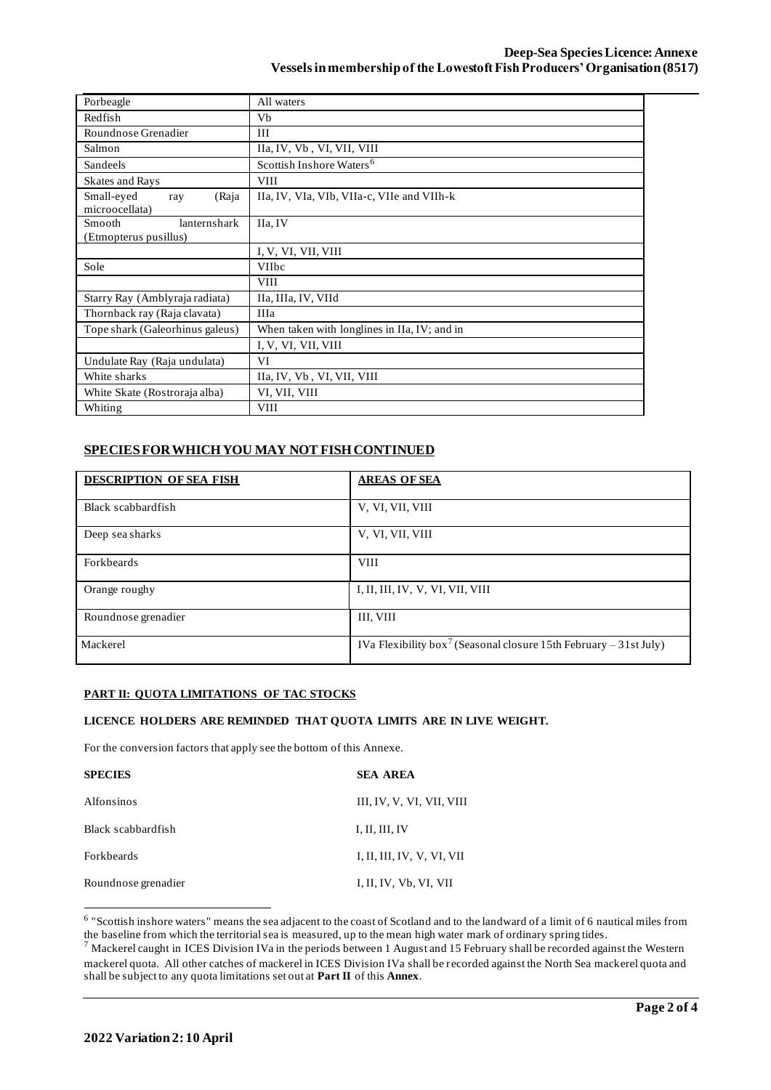| Porbeagle                       | All waters                                   |  |  |
|---------------------------------|----------------------------------------------|--|--|
| Redfish                         | Vb                                           |  |  |
| Roundnose Grenadier             | III                                          |  |  |
| Salmon                          | IIa, IV, Vb, VI, VII, VIII                   |  |  |
| Sandeels                        | Scottish Inshore Waters <sup>6</sup>         |  |  |
| <b>Skates and Rays</b>          | <b>VIII</b>                                  |  |  |
| Small-eyed<br>(Raja<br>ray      | IIa, IV, VIa, VIb, VIIa-c, VIIe and VIIh-k   |  |  |
| microocellata)                  |                                              |  |  |
| lanternshark<br>Smooth          | IIa, IV                                      |  |  |
| (Etmopterus pusillus)           |                                              |  |  |
|                                 | I, V, VI, VII, VIII                          |  |  |
| Sole                            | <b>VIIbc</b>                                 |  |  |
|                                 | <b>VIII</b>                                  |  |  |
| Starry Ray (Amblyraja radiata)  | IIa, IIIa, IV, VIId                          |  |  |
| Thornback ray (Raja clavata)    | <b>IIIa</b>                                  |  |  |
| Tope shark (Galeorhinus galeus) | When taken with longlines in IIa, IV; and in |  |  |
|                                 | I, V, VI, VII, VIII                          |  |  |
| Undulate Ray (Raja undulata)    | VI                                           |  |  |
| White sharks                    | IIa, IV, Vb, VI, VII, VIII                   |  |  |
| White Skate (Rostroraja alba)   | VI, VII, VIII                                |  |  |
| Whiting                         | <b>VIII</b>                                  |  |  |

# **SPECIES FOR WHICH YOU MAY NOT FISH CONTINUED**

| <b>DESCRIPTION OF SEA FISH</b> | <b>AREAS OF SEA</b>                                                           |
|--------------------------------|-------------------------------------------------------------------------------|
| Black scabbardfish             | V, VI, VII, VIII                                                              |
| Deep sea sharks                | V, VI, VII, VIII                                                              |
| Forkbeards                     | <b>VIII</b>                                                                   |
| Orange roughy                  | I, II, III, IV, V, VI, VII, VIII                                              |
| Roundnose grenadier            | III, VIII                                                                     |
| Mackerel                       | IVa Flexibility box <sup>7</sup> (Seasonal closure 15th February – 31st July) |

## **PART II: QUOTA LIMITATIONS OF TAC STOCKS**

## **LICENCE HOLDERS ARE REMINDED THAT QUOTA LIMITS ARE IN LIVE WEIGHT.**

For the conversion factors that apply see the bottom of this Annexe.

| <b>SPECIES</b>      | <b>SEA AREA</b>            |
|---------------------|----------------------------|
| Alfonsinos          | III, IV, V, VI, VII, VIII  |
| Black scabbardfish  | I, II, III, IV             |
| <b>Forkbeards</b>   | I, II, III, IV, V, VI, VII |
| Roundnose grenadier | I, II, IV, Vb, VI, VII     |

<sup>6</sup> "Scottish inshore waters" means the sea adjacent to the coast of Scotland and to the landward of a limit of 6 nautical miles from the baseline from which the territorial sea is measured, up to the mean high water mark of ordinary spring tides.

 $<sup>7</sup>$  Mackerel caught in ICES Division IVa in the periods between 1 August and 15 February shall be recorded against the Western</sup> mackerel quota. All other catches of mackerel in ICES Division IVa shall be recorded against the North Sea mackerel quota and shall be subject to any quota limitations set out at **Part II** of this **Annex**.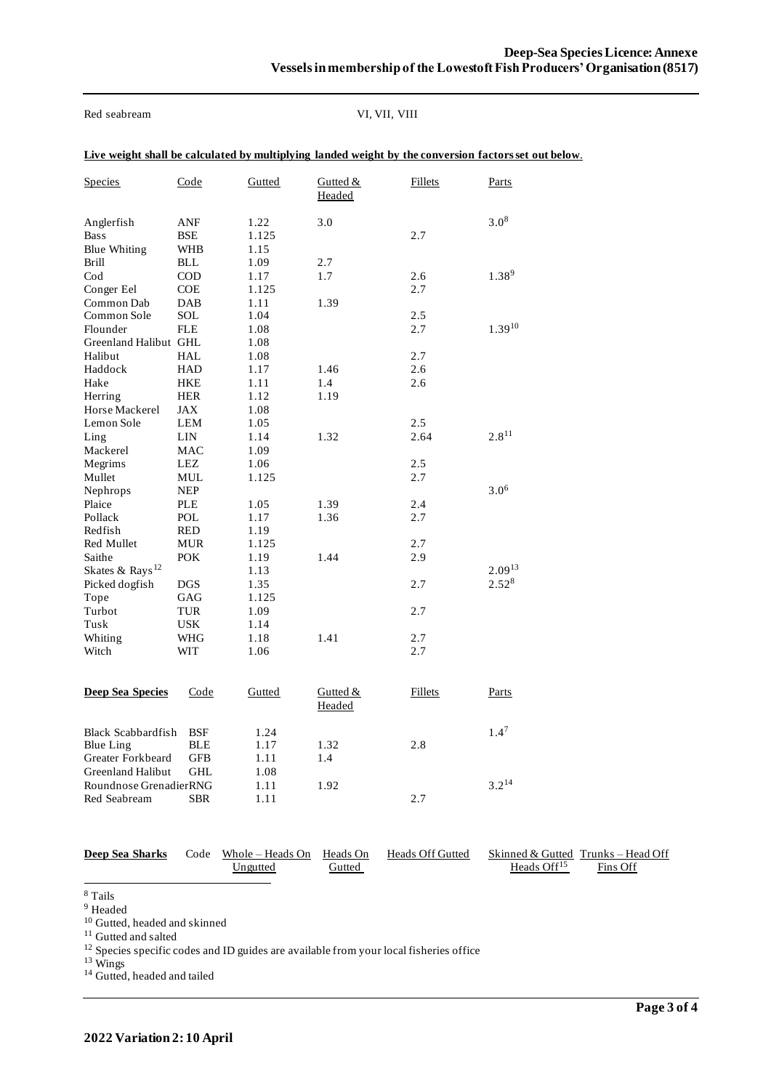Red seabream VI, VII, VIII

|  | Live weight shall be calculated by multiplying landed weight by the conversion factors set out below. |  |  |  |
|--|-------------------------------------------------------------------------------------------------------|--|--|--|
|--|-------------------------------------------------------------------------------------------------------|--|--|--|

| <b>Species</b>                                   | Code                     | Gutted                | Gutted &<br>Headed | <b>Fillets</b> | Parts       |
|--------------------------------------------------|--------------------------|-----------------------|--------------------|----------------|-------------|
| Anglerfish<br><b>Bass</b><br><b>Blue Whiting</b> | ANF<br>BSE<br><b>WHB</b> | 1.22<br>1.125<br>1.15 | 3.0                | 2.7            | $3.0^{8}$   |
| <b>Brill</b>                                     | BLL                      | 1.09                  | 2.7                |                |             |
| $\mathrm{Cod}$                                   | <b>COD</b>               | 1.17                  | 1.7                | 2.6            | $1.38^{9}$  |
| Conger Eel                                       | <b>COE</b>               | 1.125                 |                    | 2.7            |             |
| Common Dab                                       | DAB                      | 1.11                  | 1.39               |                |             |
| Common Sole                                      | SOL                      | 1.04                  |                    | 2.5            |             |
| Flounder                                         | <b>FLE</b>               | 1.08                  |                    | 2.7            | $1.39^{10}$ |
| Greenland Halibut GHL<br>Halibut                 | HAL                      | 1.08<br>1.08          |                    | 2.7            |             |
| Haddock                                          | <b>HAD</b>               | 1.17                  | 1.46               | 2.6            |             |
| Hake                                             | <b>HKE</b>               | 1.11                  | 1.4                | 2.6            |             |
| Herring                                          | <b>HER</b>               | 1.12                  | 1.19               |                |             |
| Horse Mackerel                                   | JAX                      | 1.08                  |                    |                |             |
| Lemon Sole                                       | LEM                      | 1.05                  |                    | 2.5            |             |
| Ling                                             | <b>LIN</b>               | 1.14                  | 1.32               | 2.64           | $2.8^{11}$  |
| Mackerel                                         | <b>MAC</b>               | 1.09                  |                    |                |             |
| Megrims                                          | LEZ                      | 1.06                  |                    | 2.5            |             |
| Mullet                                           | MUL                      | 1.125                 |                    | 2.7            |             |
| Nephrops                                         | <b>NEP</b>               |                       |                    |                | $3.0^{6}$   |
| Plaice                                           | PLE                      | 1.05                  | 1.39               | 2.4            |             |
| Pollack<br>Redfish                               | POL<br><b>RED</b>        | 1.17<br>1.19          | 1.36               | 2.7            |             |
| Red Mullet                                       | <b>MUR</b>               | 1.125                 |                    | 2.7            |             |
| Saithe                                           | <b>POK</b>               | 1.19                  | 1.44               | 2.9            |             |
| Skates & Rays <sup>12</sup>                      |                          | 1.13                  |                    |                | $2.09^{13}$ |
| Picked dogfish                                   | <b>DGS</b>               | 1.35                  |                    | 2.7            | $2.52^{8}$  |
| Tope                                             | GAG                      | 1.125                 |                    |                |             |
| Turbot                                           | TUR                      | 1.09                  |                    | 2.7            |             |
| Tusk                                             | <b>USK</b>               | 1.14                  |                    |                |             |
| Whiting                                          | WHG                      | 1.18                  | 1.41               | 2.7            |             |
| Witch                                            | WIT                      | 1.06                  |                    | 2.7            |             |
| <b>Deep Sea Species</b>                          | Code                     | Gutted                | Gutted $&$         | <b>Fillets</b> | Parts       |
|                                                  |                          |                       | Headed             |                |             |
| <b>Black Scabbardfish</b>                        | <b>BSF</b>               | 1.24                  |                    |                | $1.4^7$     |
| <b>Blue Ling</b>                                 | <b>BLE</b>               | 1.17                  | 1.32               | 2.8            |             |
| Greater Forkbeard                                | <b>GFB</b>               | 1.11                  | 1.4                |                |             |
| Greenland Halibut                                | <b>GHL</b>               | 1.08                  |                    |                |             |
| Roundnose GrenadierRNG                           |                          | 1.11                  | 1.92               |                | $3.2^{14}$  |
| Red Seabream                                     | <b>SBR</b>               | 1.11                  |                    | 2.7            |             |

| Deep Sea Sharks | Code Whole – Heads On Heads On<br>Ungutted | Gutted | Heads Off Gutted | Skinned & Gutted Trunks – Head Off<br>Heads Off <sup>15</sup> | Fins Off |
|-----------------|--------------------------------------------|--------|------------------|---------------------------------------------------------------|----------|
|                 |                                            |        |                  |                                                               |          |

<sup>8</sup> Tails

<sup>9</sup> Headed

<sup>10</sup> Gutted, headed and skinned

<sup>11</sup> Gutted and salted

<sup>12</sup> Species specific codes and ID guides are available from your local fisheries office

<sup>13</sup> Wings

<sup>14</sup> Gutted, headed and tailed